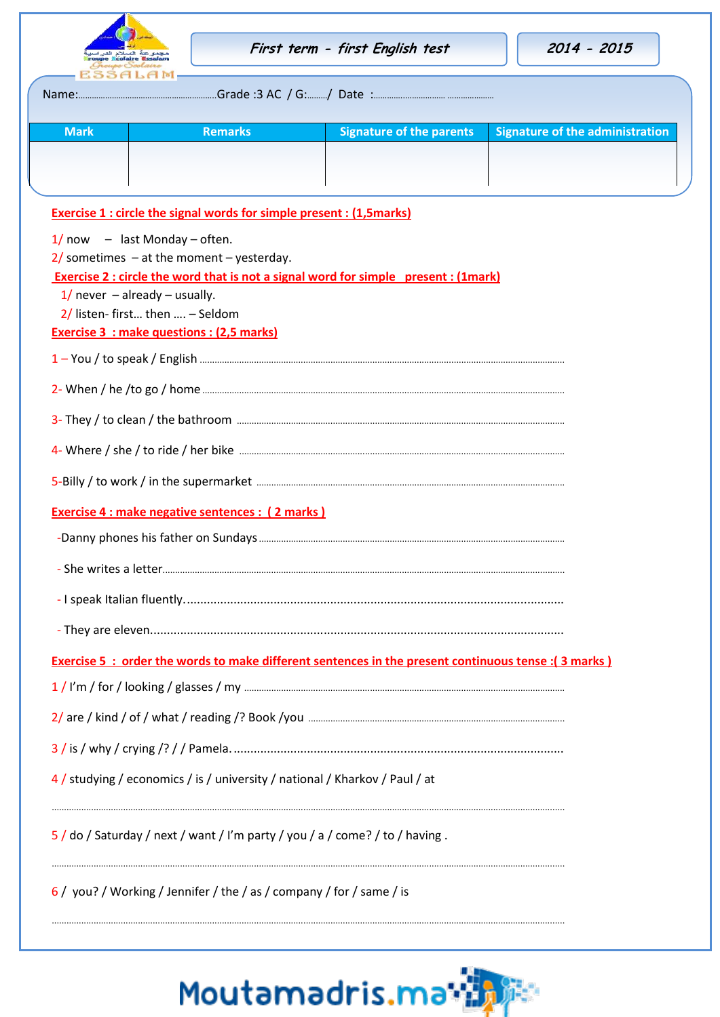|                                     |                                                                                      | First term - first English test                                                                             | 2014 - 2015                            |
|-------------------------------------|--------------------------------------------------------------------------------------|-------------------------------------------------------------------------------------------------------------|----------------------------------------|
|                                     |                                                                                      |                                                                                                             |                                        |
| <b>Mark</b>                         | <b>Remarks</b>                                                                       | <b>Signature of the parents</b>                                                                             | <b>Signature of the administration</b> |
|                                     |                                                                                      |                                                                                                             |                                        |
|                                     |                                                                                      |                                                                                                             |                                        |
|                                     | <b>Exercise 1: circle the signal words for simple present: (1,5marks)</b>            |                                                                                                             |                                        |
| $1/$ now $-$ last Monday – often.   | $2/$ sometimes $-$ at the moment $-$ yesterday.                                      |                                                                                                             |                                        |
|                                     |                                                                                      | <b>Exercise 2: circle the word that is not a signal word for simple present: (1mark)</b>                    |                                        |
| $1/$ never $-$ already $-$ usually. |                                                                                      |                                                                                                             |                                        |
|                                     | $2/$ listen-first then  - Seldom<br><b>Exercise 3 : make questions : (2,5 marks)</b> |                                                                                                             |                                        |
|                                     |                                                                                      |                                                                                                             |                                        |
|                                     |                                                                                      |                                                                                                             |                                        |
|                                     |                                                                                      |                                                                                                             |                                        |
|                                     |                                                                                      |                                                                                                             |                                        |
|                                     |                                                                                      |                                                                                                             |                                        |
|                                     | <b>Exercise 4 : make negative sentences : (2 marks)</b>                              |                                                                                                             |                                        |
|                                     |                                                                                      |                                                                                                             |                                        |
|                                     |                                                                                      |                                                                                                             |                                        |
|                                     |                                                                                      |                                                                                                             |                                        |
|                                     |                                                                                      |                                                                                                             |                                        |
|                                     |                                                                                      | <b>Exercise 5 : order the words to make different sentences in the present continuous tense : (3 marks)</b> |                                        |
|                                     |                                                                                      |                                                                                                             |                                        |
|                                     |                                                                                      |                                                                                                             |                                        |
|                                     |                                                                                      |                                                                                                             |                                        |
|                                     | 4 / studying / economics / is / university / national / Kharkov / Paul / at          |                                                                                                             |                                        |

6 / you? / Working / Jennifer / the / as / company / for / same / is